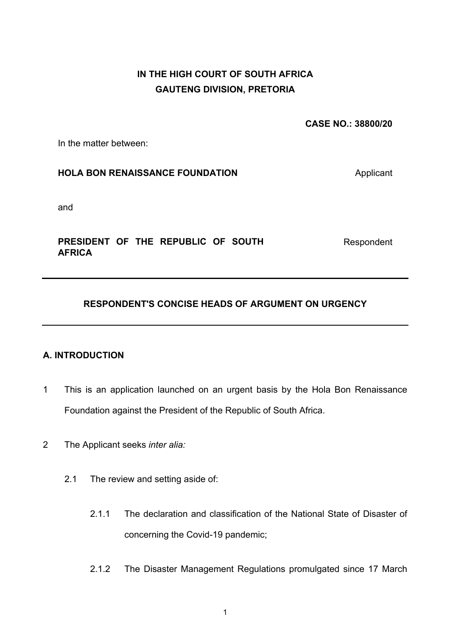# **IN THE HIGH COURT OF SOUTH AFRICA GAUTENG DIVISION, PRETORIA**

**CASE NO.: 38800/20** 

In the matter between:

### **HOLA BON RENAISSANCE FOUNDATION Applicant**

and

### **PRESIDENT OF THE REPUBLIC OF SOUTH AFRICA**

Respondent

## **RESPONDENT'S CONCISE HEADS OF ARGUMENT ON URGENCY**

### **A. INTRODUCTION**

- 1 This is an application launched on an urgent basis by the Hola Bon Renaissance Foundation against the President of the Republic of South Africa.
- 2 The Applicant seeks *inter alia:*
	- 2.1 The review and setting aside of:
		- 2.1.1 The declaration and classification of the National State of Disaster of concerning the Covid-19 pandemic;
		- 2.1.2 The Disaster Management Regulations promulgated since 17 March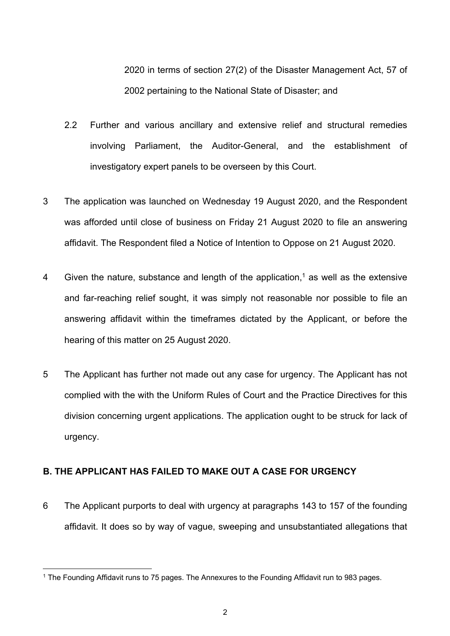2020 in terms of section 27(2) of the Disaster Management Act, 57 of 2002 pertaining to the National State of Disaster; and

- 2.2 Further and various ancillary and extensive relief and structural remedies involving Parliament, the Auditor-General, and the establishment of investigatory expert panels to be overseen by this Court.
- 3 The application was launched on Wednesday 19 August 2020, and the Respondent was afforded until close of business on Friday 21 August 2020 to file an answering affidavit. The Respondent filed a Notice of Intention to Oppose on 21 August 2020.
- 4 Given the nature, substance and length of the application, $1$  as well as the extensive and far-reaching relief sought, it was simply not reasonable nor possible to file an answering affidavit within the timeframes dictated by the Applicant, or before the hearing of this matter on 25 August 2020.
- 5 The Applicant has further not made out any case for urgency. The Applicant has not complied with the with the Uniform Rules of Court and the Practice Directives for this division concerning urgent applications. The application ought to be struck for lack of urgency.

#### **B. THE APPLICANT HAS FAILED TO MAKE OUT A CASE FOR URGENCY**

6 The Applicant purports to deal with urgency at paragraphs 143 to 157 of the founding affidavit. It does so by way of vague, sweeping and unsubstantiated allegations that

<sup>&</sup>lt;sup>1</sup> The Founding Affidavit runs to 75 pages. The Annexures to the Founding Affidavit run to 983 pages.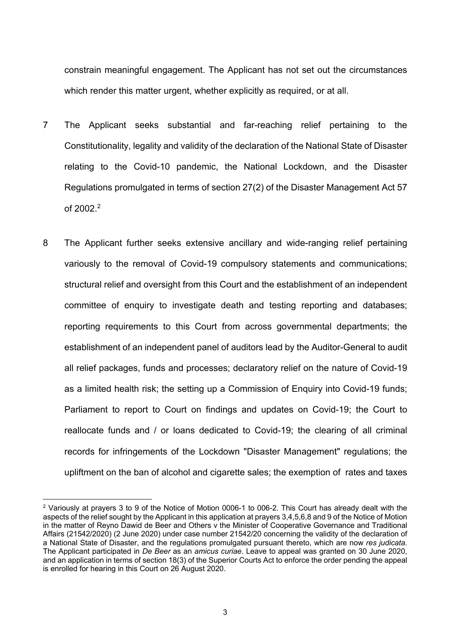constrain meaningful engagement. The Applicant has not set out the circumstances which render this matter urgent, whether explicitly as required, or at all.

- 7 The Applicant seeks substantial and far-reaching relief pertaining to the Constitutionality, legality and validity of the declaration of the National State of Disaster relating to the Covid-10 pandemic, the National Lockdown, and the Disaster Regulations promulgated in terms of section 27(2) of the Disaster Management Act 57 of 2002. 2
- 8 The Applicant further seeks extensive ancillary and wide-ranging relief pertaining variously to the removal of Covid-19 compulsory statements and communications; structural relief and oversight from this Court and the establishment of an independent committee of enquiry to investigate death and testing reporting and databases; reporting requirements to this Court from across governmental departments; the establishment of an independent panel of auditors lead by the Auditor-General to audit all relief packages, funds and processes; declaratory relief on the nature of Covid-19 as a limited health risk; the setting up a Commission of Enquiry into Covid-19 funds; Parliament to report to Court on findings and updates on Covid-19; the Court to reallocate funds and / or loans dedicated to Covid-19; the clearing of all criminal records for infringements of the Lockdown "Disaster Management" regulations; the upliftment on the ban of alcohol and cigarette sales; the exemption of rates and taxes

<sup>&</sup>lt;sup>2</sup> Variously at prayers 3 to 9 of the Notice of Motion 0006-1 to 006-2. This Court has already dealt with the aspects of the relief sought by the Applicant in this application at prayers 3,4,5,6,8 and 9 of the Notice of Motion in the matter of Reyno Dawid de Beer and Others v the Minister of Cooperative Governance and Traditional Affairs (21542/2020) (2 June 2020) under case number 21542/20 concerning the validity of the declaration of a National State of Disaster, and the regulations promulgated pursuant thereto, which are now *res judicata*. The Applicant participated in *De Beer* as an *amicus curiae*. Leave to appeal was granted on 30 June 2020, and an application in terms of section 18(3) of the Superior Courts Act to enforce the order pending the appeal is enrolled for hearing in this Court on 26 August 2020.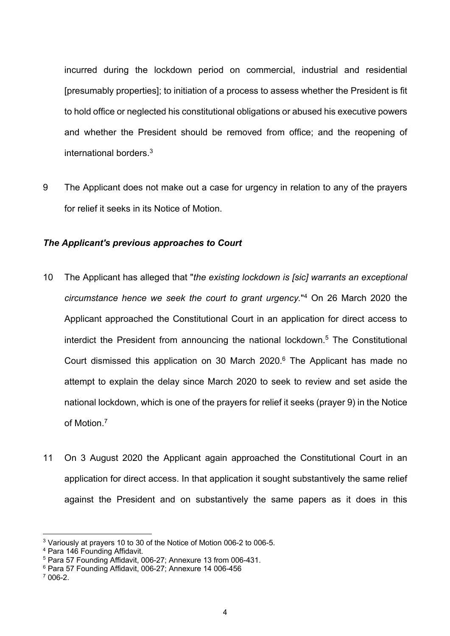incurred during the lockdown period on commercial, industrial and residential [presumably properties]; to initiation of a process to assess whether the President is fit to hold office or neglected his constitutional obligations or abused his executive powers and whether the President should be removed from office; and the reopening of international borders.3

9 The Applicant does not make out a case for urgency in relation to any of the prayers for relief it seeks in its Notice of Motion.

#### *The Applicant's previous approaches to Court*

- 10 The Applicant has alleged that "*the existing lockdown is [sic] warrants an exceptional circumstance hence we seek the court to grant urgency.*"4 On 26 March 2020 the Applicant approached the Constitutional Court in an application for direct access to interdict the President from announcing the national lockdown.<sup>5</sup> The Constitutional Court dismissed this application on 30 March 2020. <sup>6</sup> The Applicant has made no attempt to explain the delay since March 2020 to seek to review and set aside the national lockdown, which is one of the prayers for relief it seeks (prayer 9) in the Notice of Motion.7
- 11 On 3 August 2020 the Applicant again approached the Constitutional Court in an application for direct access. In that application it sought substantively the same relief against the President and on substantively the same papers as it does in this

<sup>3</sup> Variously at prayers 10 to 30 of the Notice of Motion 006-2 to 006-5.

<sup>4</sup> Para 146 Founding Affidavit.

<sup>5</sup> Para 57 Founding Affidavit, 006-27; Annexure 13 from 006-431.

 $6$  Para 57 Founding Affidavit, 006-27; Annexure 14 006-456

 $7006-2$ .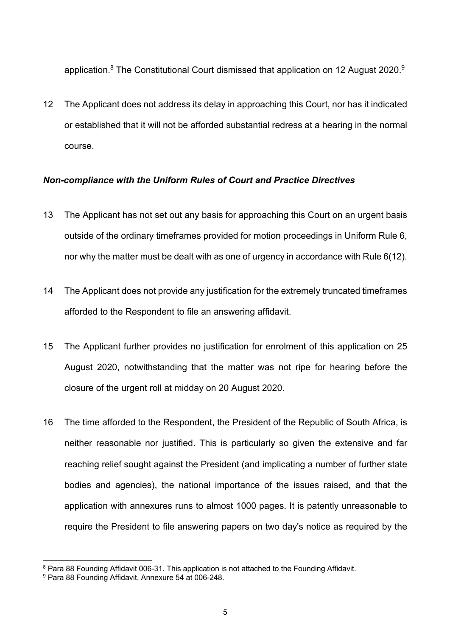application.<sup>8</sup> The Constitutional Court dismissed that application on 12 August 2020.<sup>9</sup>

12 The Applicant does not address its delay in approaching this Court, nor has it indicated or established that it will not be afforded substantial redress at a hearing in the normal course.

#### *Non-compliance with the Uniform Rules of Court and Practice Directives*

- 13 The Applicant has not set out any basis for approaching this Court on an urgent basis outside of the ordinary timeframes provided for motion proceedings in Uniform Rule 6, nor why the matter must be dealt with as one of urgency in accordance with Rule 6(12).
- 14 The Applicant does not provide any justification for the extremely truncated timeframes afforded to the Respondent to file an answering affidavit.
- 15 The Applicant further provides no justification for enrolment of this application on 25 August 2020, notwithstanding that the matter was not ripe for hearing before the closure of the urgent roll at midday on 20 August 2020.
- 16 The time afforded to the Respondent, the President of the Republic of South Africa, is neither reasonable nor justified. This is particularly so given the extensive and far reaching relief sought against the President (and implicating a number of further state bodies and agencies), the national importance of the issues raised, and that the application with annexures runs to almost 1000 pages. It is patently unreasonable to require the President to file answering papers on two day's notice as required by the

<sup>&</sup>lt;sup>8</sup> Para 88 Founding Affidavit 006-31. This application is not attached to the Founding Affidavit.<br><sup>9</sup> Para 88 Founding Affidavit, Annexure 54 at 006-248.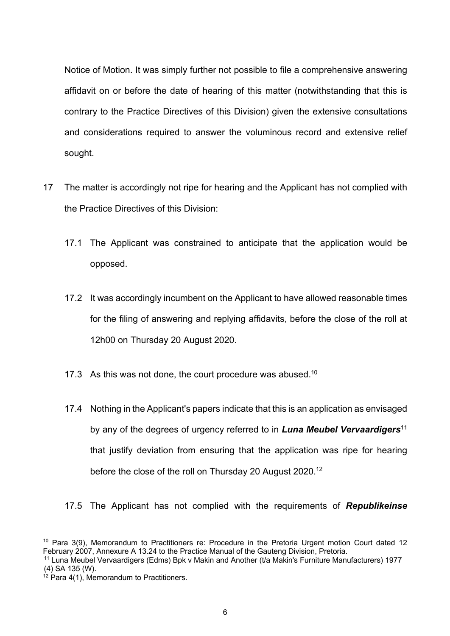Notice of Motion. It was simply further not possible to file a comprehensive answering affidavit on or before the date of hearing of this matter (notwithstanding that this is contrary to the Practice Directives of this Division) given the extensive consultations and considerations required to answer the voluminous record and extensive relief sought.

- 17 The matter is accordingly not ripe for hearing and the Applicant has not complied with the Practice Directives of this Division:
	- 17.1 The Applicant was constrained to anticipate that the application would be opposed.
	- 17.2 It was accordingly incumbent on the Applicant to have allowed reasonable times for the filing of answering and replying affidavits, before the close of the roll at 12h00 on Thursday 20 August 2020.
	- 17.3 As this was not done, the court procedure was abused.<sup>10</sup>
	- 17.4 Nothing in the Applicant's papers indicate that this is an application as envisaged by any of the degrees of urgency referred to in *Luna Meubel Vervaardigers*<sup>11</sup> that justify deviation from ensuring that the application was ripe for hearing before the close of the roll on Thursday 20 August 2020.<sup>12</sup>
	- 17.5 The Applicant has not complied with the requirements of *Republikeinse*

<sup>10</sup> Para 3(9), Memorandum to Practitioners re: Procedure in the Pretoria Urgent motion Court dated 12 February 2007, Annexure A 13.24 to the Practice Manual of the Gauteng Division, Pretoria.

<sup>11</sup> Luna Meubel Vervaardigers (Edms) Bpk v Makin and Another (t/a Makin's Furniture Manufacturers) 1977 (4) SA 135 (W).

 $12$  Para 4(1), Memorandum to Practitioners.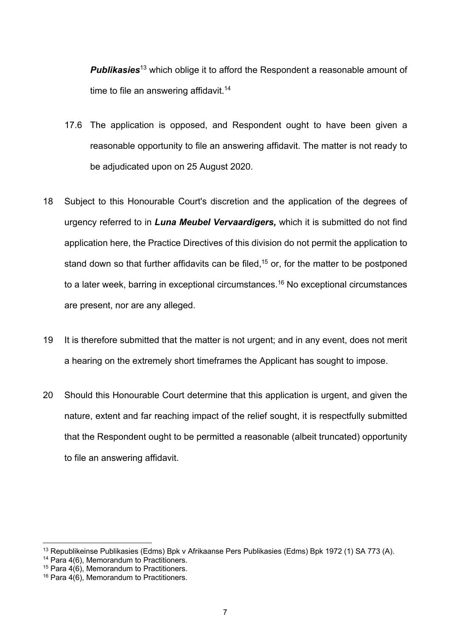**Publikasies**<sup>13</sup> which oblige it to afford the Respondent a reasonable amount of time to file an answering affidavit.<sup>14</sup>

- 17.6 The application is opposed, and Respondent ought to have been given a reasonable opportunity to file an answering affidavit. The matter is not ready to be adjudicated upon on 25 August 2020.
- 18 Subject to this Honourable Court's discretion and the application of the degrees of urgency referred to in *Luna Meubel Vervaardigers,* which it is submitted do not find application here, the Practice Directives of this division do not permit the application to stand down so that further affidavits can be filed,  $15$  or, for the matter to be postponed to a later week, barring in exceptional circumstances.<sup>16</sup> No exceptional circumstances are present, nor are any alleged.
- 19 It is therefore submitted that the matter is not urgent; and in any event, does not merit a hearing on the extremely short timeframes the Applicant has sought to impose.
- 20 Should this Honourable Court determine that this application is urgent, and given the nature, extent and far reaching impact of the relief sought, it is respectfully submitted that the Respondent ought to be permitted a reasonable (albeit truncated) opportunity to file an answering affidavit.

<sup>13</sup> Republikeinse Publikasies (Edms) Bpk v Afrikaanse Pers Publikasies (Edms) Bpk 1972 (1) SA 773 (A).

<sup>&</sup>lt;sup>14</sup> Para 4(6), Memorandum to Practitioners.

<sup>&</sup>lt;sup>15</sup> Para  $4(6)$ , Memorandum to Practitioners.

 $16$  Para 4(6), Memorandum to Practitioners.